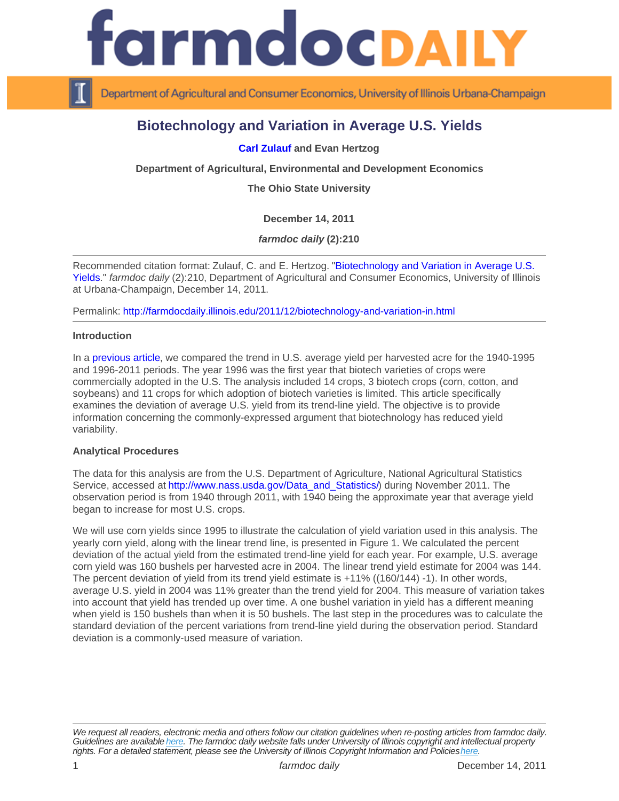# Biotechnology and Variation in Average U.S. Yields

[Carl Zulauf](http://aede.osu.edu/about-us/our-people/carl-zuluaf) and Evan Hertzog

Department of Agricultural, Environmental and Development Economics

The Ohio State University

December 14, 2011

farmdoc daily (2):210

Recommended citation format: Zulauf, C. and E. Hertzog. "[Biotechnology and Variation in Average U.S.](http://farmdocdaily.illinois.edu/2011/12/biotechnology-and-variation-in.html)  [Yields](http://farmdocdaily.illinois.edu/2011/12/biotechnology-and-variation-in.html)." farmdoc daily (2):210, Department of Agricultural and Consumer Economics, University of Illinois at Urbana-Champaign, December 14, 2011.

Permalink:<http://farmdocdaily.illinois.edu/2011/12/biotechnology-and-variation-in.html>

**Introduction** 

In a [previous article](http://farmdocdaily.illinois.edu/2011/12/biotechnology-and-us-crop-yiel-1.html), we compared the trend in U.S. average yield per harvested acre for the 1940-1995 and 1996-2011 periods. The year 1996 was the first year that biotech varieties of crops were commercially adopted in the U.S. The analysis included 14 crops, 3 biotech crops (corn, cotton, and soybeans) and 11 crops for which adoption of biotech varieties is limited. This article specifically examines the deviation of average U.S. yield from its trend-line yield. The objective is to provide information concerning the commonly-expressed argument that biotechnology has reduced yield variability.

## Analytical Procedures

The data for this analysis are from the U.S. Department of Agriculture, National Agricultural Statistics Service, accessed at [http://www.nass.usda.gov/Data\\_and\\_Statistics/](http://www.nass.usda.gov/Data_and_Statistics/)) during November 2011. The observation period is from 1940 through 2011, with 1940 being the approximate year that average yield began to increase for most U.S. crops.

We will use corn yields since 1995 to illustrate the calculation of yield variation used in this analysis. The yearly corn yield, along with the linear trend line, is presented in Figure 1. We calculated the percent deviation of the actual yield from the estimated trend-line yield for each year. For example, U.S. average corn yield was 160 bushels per harvested acre in 2004. The linear trend yield estimate for 2004 was 144. The percent deviation of yield from its trend yield estimate is +11% ((160/144) -1). In other words, average U.S. yield in 2004 was 11% greater than the trend yield for 2004. This measure of variation takes into account that yield has trended up over time. A one bushel variation in yield has a different meaning when yield is 150 bushels than when it is 50 bushels. The last step in the procedures was to calculate the standard deviation of the percent variations from trend-line yield during the observation period. Standard deviation is a commonly-used measure of variation.

We request all readers, electronic media and others follow our citation guidelines when re-posting articles from farmdoc daily. Guidelines are available [here](http://farmdocdaily.illinois.edu/citationguide.html). The farmdoc daily website falls under University of Illinois copyright and intellectual property rights. For a detailed statement, please see the University of Illinois Copyright Information and Policies [here.](https://techservices.illinois.edu/office-cio)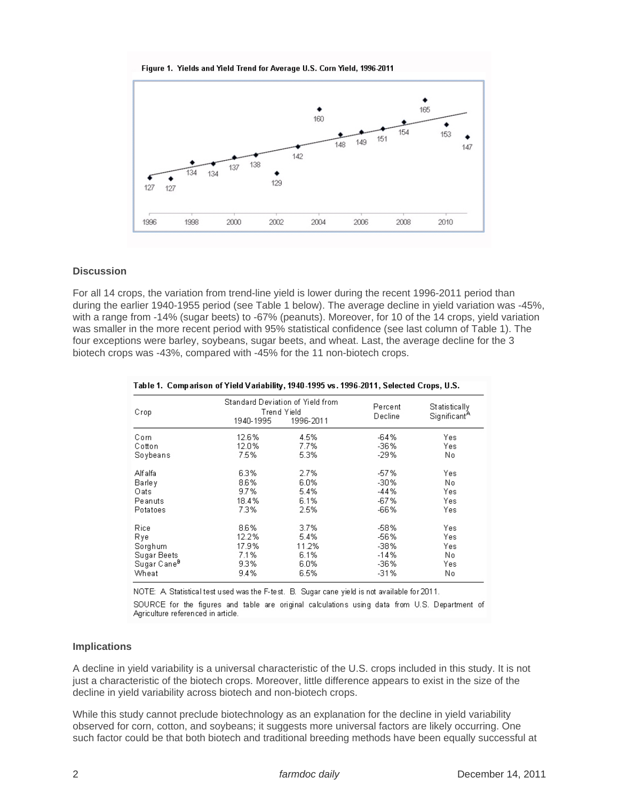#### Figure 1. Yields and Yield Trend for Average U.S. Corn Yield, 1996-2011



## **Discussion**

For all 14 crops, the variation from trend-line yield is lower during the recent 1996-2011 period than during the earlier 1940-1955 period (see Table 1 below). The average decline in yield variation was -45%, with a range from -14% (sugar beets) to -67% (peanuts). Moreover, for 10 of the 14 crops, yield variation was smaller in the more recent period with 95% statistical confidence (see last column of Table 1). The four exceptions were barley, soybeans, sugar beets, and wheat. Last, the average decline for the 3 biotech crops was -43%, compared with -45% for the 11 non-biotech crops.

| Crop                    | Standard Deviation of Yield from<br>Trend Yield<br>1940-1995 | 1996-2011 | Percent<br>Decline | Statistically<br>Significant <sup>A</sup> |
|-------------------------|--------------------------------------------------------------|-----------|--------------------|-------------------------------------------|
| Com                     | 12.6%                                                        | 4.5%      | $-64%$             | Yes.                                      |
| Cotton                  | 12.0%                                                        | 7.7%      | -36%               | Yes                                       |
| Soybeans                | 7.5%                                                         | 5.3%      | $-29%$             | No                                        |
| Alfalfa                 | 6.3%                                                         | 2.7%      | $-57%$             | Yes                                       |
| Barley                  | 8.6%                                                         | 6.0%      | $-30%$             | No.                                       |
| Oats                    | 9.7%                                                         | 5.4%      | $-44%$             | Yes                                       |
| Peanuts                 | 18.4%                                                        | 6.1%      | $-67%$             | Yes                                       |
| Potatoes                | 7.3%                                                         | 2.5%      | $-66%$             | Yes                                       |
| Rice                    | 8.6%                                                         | 3.7%      | $-58%$             | Yes                                       |
| Rye                     | 12.2%                                                        | 5.4%      | -56%               | Yes                                       |
| Sorghum                 | 17.9%                                                        | 11.2%     | -38%               | Yes                                       |
| Sugar Beets             | 7.1%                                                         | 6.1%      | $-14%$             | No.                                       |
| Sugar Cane <sup>B</sup> | 9.3%                                                         | 6.0%      | -36%               | Yes                                       |
| Wheat                   | 9.4%                                                         | 6.5%      | $-31%$             | No                                        |

#### Table 1. Comparison of Yield Variability, 1940-1995 vs. 1996-2011, Selected Crops, U.S.

NOTE: A Statistical test used was the F-test. B. Sugar cane yield is not available for 2011.

SOURCE for the figures and table are original calculations using data from U.S. Department of Agriculture referenced in article.

### **Implications**

A decline in yield variability is a universal characteristic of the U.S. crops included in this study. It is not just a characteristic of the biotech crops. Moreover, little difference appears to exist in the size of the decline in yield variability across biotech and non-biotech crops.

While this study cannot preclude biotechnology as an explanation for the decline in yield variability observed for corn, cotton, and soybeans; it suggests more universal factors are likely occurring. One such factor could be that both biotech and traditional breeding methods have been equally successful at